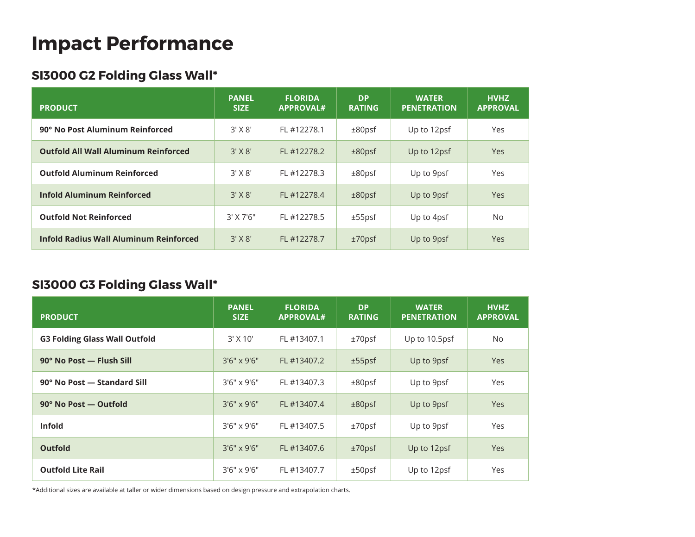# **Impact Performance**

#### **SI3000 G2 Folding Glass Wall\***

| <b>PRODUCT</b>                                | <b>PANEL</b><br><b>SIZE</b> | <b>FLORIDA</b><br><b>APPROVAL#</b> | <b>DP</b><br><b>RATING</b> | <b>WATER</b><br><b>PENETRATION</b> | <b>HVHZ</b><br><b>APPROVAL</b> |
|-----------------------------------------------|-----------------------------|------------------------------------|----------------------------|------------------------------------|--------------------------------|
| 90° No Post Aluminum Reinforced               | $3'$ X $8'$                 | FL #12278.1                        | $±80$ psf                  | Up to 12psf                        | Yes                            |
| <b>Outfold All Wall Aluminum Reinforced</b>   | $3'$ X $8'$                 | FL #12278.2                        | $±80$ psf                  | Up to 12psf                        | <b>Yes</b>                     |
| <b>Outfold Aluminum Reinforced</b>            | $3'$ X $8'$                 | FL #12278.3                        | $±80$ psf                  | Up to 9psf                         | Yes                            |
| <b>Infold Aluminum Reinforced</b>             | $3'$ X $8'$                 | FL #12278.4                        | $±80$ psf                  | Up to 9psf                         | <b>Yes</b>                     |
| <b>Outfold Not Reinforced</b>                 | $3'$ X 7'6"                 | FL #12278.5                        | $±55$ psf                  | Up to 4psf                         | <b>No</b>                      |
| <b>Infold Radius Wall Aluminum Reinforced</b> | $3'$ X $8'$                 | FL #12278.7                        | $±70$ psf                  | Up to 9psf                         | Yes                            |

### **SI3000 G3 Folding Glass Wall\***

| <b>PRODUCT</b>                       | <b>PANEL</b><br><b>SIZE</b> | <b>FLORIDA</b><br><b>APPROVAL#</b> | <b>DP</b><br><b>RATING</b> | <b>WATER</b><br><b>PENETRATION</b> | <b>HVHZ</b><br><b>APPROVAL</b> |
|--------------------------------------|-----------------------------|------------------------------------|----------------------------|------------------------------------|--------------------------------|
| <b>G3 Folding Glass Wall Outfold</b> | $3'$ X 10'                  | FL #13407.1                        | $±70$ psf                  | Up to 10.5psf                      | No.                            |
| 90° No Post - Flush Sill             | $3'6'' \times 9'6''$        | FL #13407.2                        | $±55$ psf                  | Up to 9psf                         | Yes                            |
| 90° No Post - Standard Sill          | $3'6'' \times 9'6''$        | FL #13407.3                        | $±80$ psf                  | Up to 9psf                         | Yes                            |
| 90° No Post — Outfold                | $3'6'' \times 9'6''$        | FL #13407.4                        | $±80$ psf                  | Up to 9psf                         | Yes                            |
| <b>Infold</b>                        | $3'6'' \times 9'6''$        | FL #13407.5                        | $±70$ psf                  | Up to 9psf                         | Yes                            |
| <b>Outfold</b>                       | 3'6" x 9'6"                 | FL #13407.6                        | $±70$ psf                  | Up to 12psf                        | Yes                            |
| <b>Outfold Lite Rail</b>             | $3'6'' \times 9'6''$        | FL #13407.7                        | $±50$ psf                  | Up to 12psf                        | Yes                            |

\*Additional sizes are available at taller or wider dimensions based on design pressure and extrapolation charts.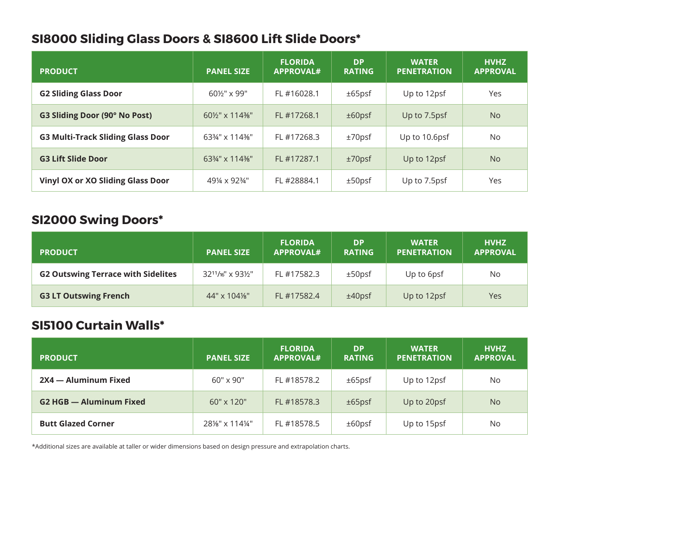### **SI8000 Sliding Glass Doors & SI8600 Lift Slide Doors\***

| <b>PRODUCT</b>                           | <b>PANEL SIZE</b>                                                    | <b>FLORIDA</b><br><b>APPROVAL#</b> | <b>DP</b><br><b>RATING</b> | <b>WATER</b><br><b>PENETRATION</b> | <b>HVHZ</b><br><b>APPROVAL</b> |
|------------------------------------------|----------------------------------------------------------------------|------------------------------------|----------------------------|------------------------------------|--------------------------------|
| <b>G2 Sliding Glass Door</b>             | $60\frac{1}{2}$ " x 99"                                              | FL #16028.1                        | $±65$ psf                  | Up to 12psf                        | Yes                            |
| G3 Sliding Door (90° No Post)            | 60 <sup>1</sup> / <sub>2</sub> " x 114 <sup>3</sup> / <sub>8</sub> " | FL #17268.1                        | $±60$ psf                  | Up to 7.5psf                       | <b>No</b>                      |
| <b>G3 Multi-Track Sliding Glass Door</b> | 633⁄4" x 1143⁄8"                                                     | FL #17268.3                        | ±70psf                     | Up to 10.6psf                      | <b>No</b>                      |
| <b>G3 Lift Slide Door</b>                | 63%" x 114%"                                                         | FL #17287.1                        | ±70psf                     | Up to 12psf                        | <b>No</b>                      |
| <b>Vinyl OX or XO Sliding Glass Door</b> | 491/ <sub>4</sub> x 92 <sup>3</sup> / <sub>4</sub> "                 | FL #28884.1                        | $±50$ psf                  | Up to 7.5psf                       | Yes                            |

### **SI2000 Swing Doors\***

| <b>PRODUCT</b>                            | <b>PANEL SIZE</b> | <b>FLORIDA</b><br><b>APPROVAL#</b> | DP<br><b>RATING</b> | <b>WATER</b><br><b>PENETRATION</b> | <b>HVHZ</b><br><b>APPROVAL</b> |
|-------------------------------------------|-------------------|------------------------------------|---------------------|------------------------------------|--------------------------------|
| <b>G2 Outswing Terrace with Sidelites</b> | 3211/16" x 931/2" | FL #17582.3                        | $±50$ psf           | Up to 6psf                         | <b>No</b>                      |
| <b>G3 LT Outswing French</b>              | 44" x 104%"       | FL #17582.4                        | $±40$ psf           | Up to 12psf                        | Yes                            |

#### **SI5100 Curtain Walls\***

| <b>PRODUCT</b>                 | <b>PANEL SIZE</b>   | <b>FLORIDA</b><br><b>APPROVAL#</b> | <b>DP</b><br><b>RATING</b> | <b>WATER</b><br><b>PENETRATION</b> | <b>HVHZ</b><br><b>APPROVAL</b> |
|--------------------------------|---------------------|------------------------------------|----------------------------|------------------------------------|--------------------------------|
| 2X4 – Aluminum Fixed           | $60" \times 90"$    | FL #18578.2                        | $±65$ psf                  | Up to 12psf                        | No.                            |
| <b>G2 HGB - Aluminum Fixed</b> | $60'' \times 120''$ | FL #18578.3                        | $±65$ psf                  | Up to 20psf                        | <b>No</b>                      |
| <b>Butt Glazed Corner</b>      | 281/8" x 1141/4"    | FL #18578.5                        | $±60$ psf                  | Up to 15psf                        | No.                            |

\*Additional sizes are available at taller or wider dimensions based on design pressure and extrapolation charts.